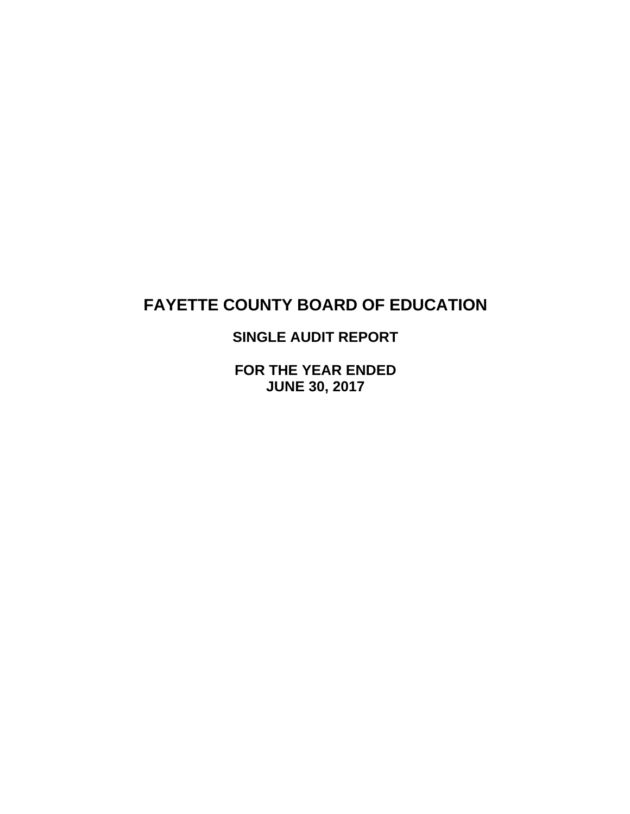**SINGLE AUDIT REPORT** 

**FOR THE YEAR ENDED JUNE 30, 2017**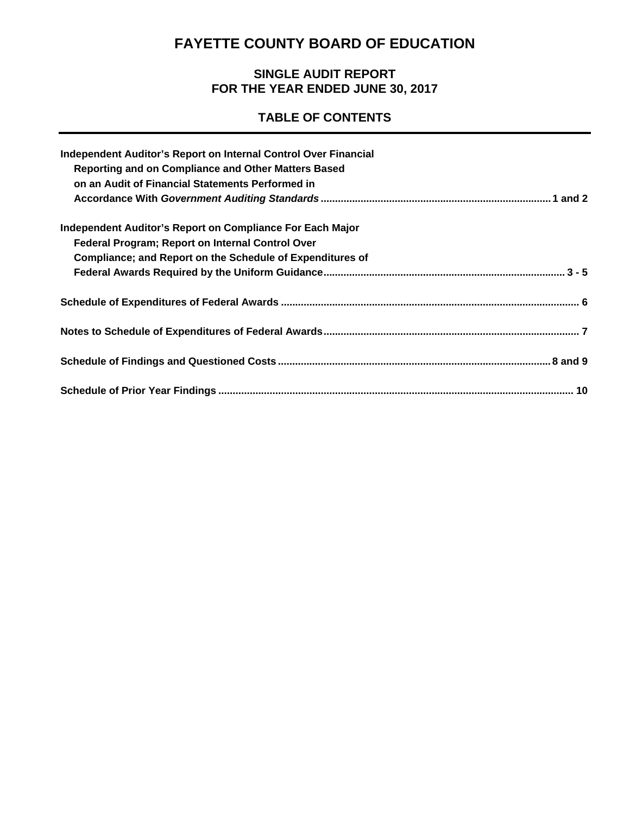# **SINGLE AUDIT REPORT FOR THE YEAR ENDED JUNE 30, 2017**

# **TABLE OF CONTENTS**

| Independent Auditor's Report on Internal Control Over Financial<br>Reporting and on Compliance and Other Matters Based<br>on an Audit of Financial Statements Performed in |  |
|----------------------------------------------------------------------------------------------------------------------------------------------------------------------------|--|
|                                                                                                                                                                            |  |
| Independent Auditor's Report on Compliance For Each Major                                                                                                                  |  |
| Federal Program; Report on Internal Control Over                                                                                                                           |  |
| Compliance; and Report on the Schedule of Expenditures of                                                                                                                  |  |
|                                                                                                                                                                            |  |
|                                                                                                                                                                            |  |
|                                                                                                                                                                            |  |
|                                                                                                                                                                            |  |
|                                                                                                                                                                            |  |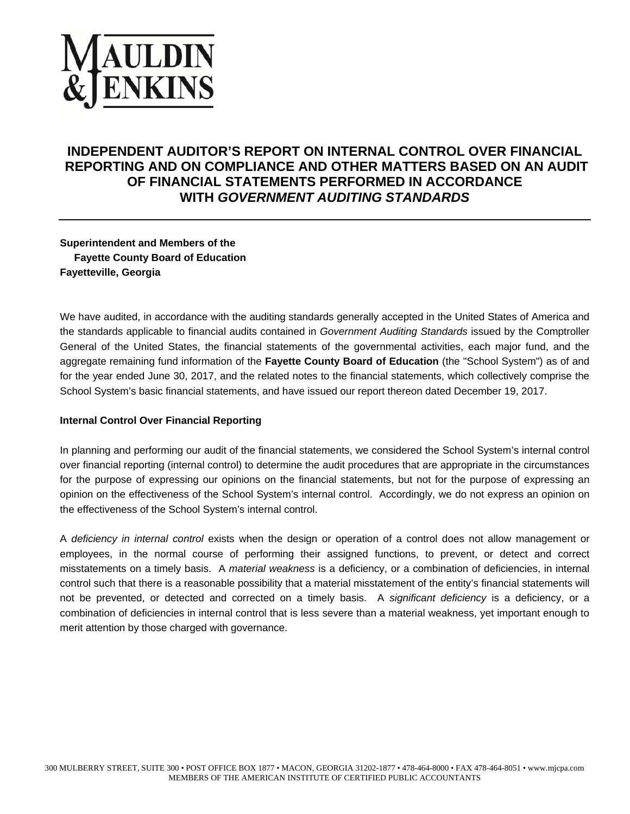# **AULDIN<br>ENKINS**

# **INDEPENDENT AUDITOR'S REPORT ON INTERNAL CONTROL OVER FINANCIAL REPORTING AND ON COMPLIANCE AND OTHER MATTERS BASED ON AN AUDIT OF FINANCIAL STATEMENTS PERFORMED IN ACCORDANCE WITH** *GOVERNMENT AUDITING STANDARDS*

**Superintendent and Members of the Fayette County Board of Education Fayetteville, Georgia** 

We have audited, in accordance with the auditing standards generally accepted in the United States of America and the standards applicable to financial audits contained in *Government Auditing Standards* issued by the Comptroller General of the United States, the financial statements of the governmental activities, each major fund, and the aggregate remaining fund information of the **Fayette County Board of Education** (the "School System") as of and for the year ended June 30, 2017, and the related notes to the financial statements, which collectively comprise the School System's basic financial statements, and have issued our report thereon dated December 19, 2017.

#### **Internal Control Over Financial Reporting**

In planning and performing our audit of the financial statements, we considered the School System's internal control over financial reporting (internal control) to determine the audit procedures that are appropriate in the circumstances for the purpose of expressing our opinions on the financial statements, but not for the purpose of expressing an opinion on the effectiveness of the School System's internal control. Accordingly, we do not express an opinion on the effectiveness of the School System's internal control.

A *deficiency in internal control* exists when the design or operation of a control does not allow management or employees, in the normal course of performing their assigned functions, to prevent, or detect and correct misstatements on a timely basis. A *material weakness* is a deficiency, or a combination of deficiencies, in internal control such that there is a reasonable possibility that a material misstatement of the entity's financial statements will not be prevented, or detected and corrected on a timely basis. A *significant deficiency* is a deficiency, or a combination of deficiencies in internal control that is less severe than a material weakness, yet important enough to merit attention by those charged with governance.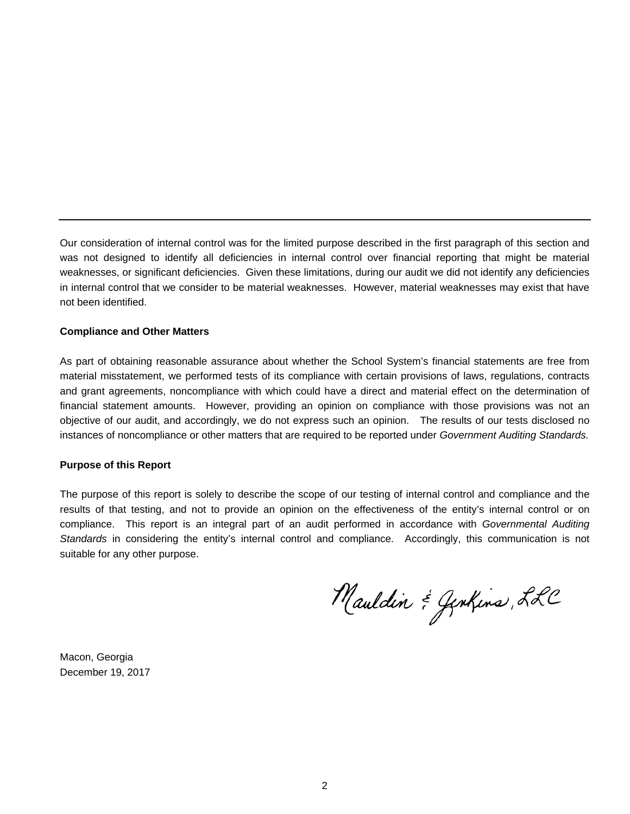Our consideration of internal control was for the limited purpose described in the first paragraph of this section and was not designed to identify all deficiencies in internal control over financial reporting that might be material weaknesses, or significant deficiencies. Given these limitations, during our audit we did not identify any deficiencies in internal control that we consider to be material weaknesses. However, material weaknesses may exist that have not been identified.

#### **Compliance and Other Matters**

As part of obtaining reasonable assurance about whether the School System's financial statements are free from material misstatement, we performed tests of its compliance with certain provisions of laws, regulations, contracts and grant agreements, noncompliance with which could have a direct and material effect on the determination of financial statement amounts. However, providing an opinion on compliance with those provisions was not an objective of our audit, and accordingly, we do not express such an opinion. The results of our tests disclosed no instances of noncompliance or other matters that are required to be reported under *Government Auditing Standards.* 

#### **Purpose of this Report**

The purpose of this report is solely to describe the scope of our testing of internal control and compliance and the results of that testing, and not to provide an opinion on the effectiveness of the entity's internal control or on compliance. This report is an integral part of an audit performed in accordance with *Governmental Auditing Standards* in considering the entity's internal control and compliance. Accordingly, this communication is not suitable for any other purpose.

Mauldin & Jenkins, LLC

Macon, Georgia December 19, 2017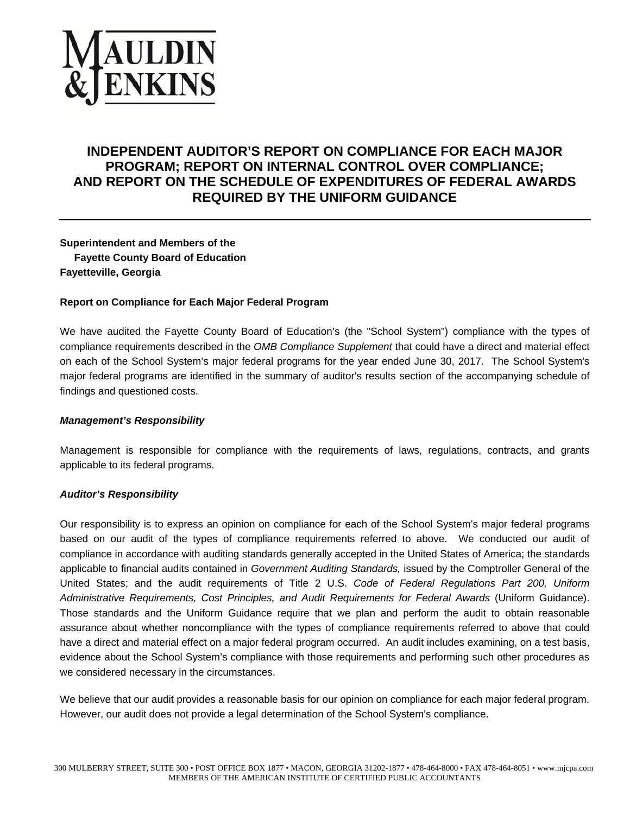

# **INDEPENDENT AUDITOR'S REPORT ON COMPLIANCE FOR EACH MAJOR PROGRAM; REPORT ON INTERNAL CONTROL OVER COMPLIANCE; AND REPORT ON THE SCHEDULE OF EXPENDITURES OF FEDERAL AWARDS REQUIRED BY THE UNIFORM GUIDANCE**

# **Superintendent and Members of the Fayette County Board of Education Fayetteville, Georgia**

#### **Report on Compliance for Each Major Federal Program**

We have audited the Fayette County Board of Education's (the "School System") compliance with the types of compliance requirements described in the *OMB Compliance Supplement* that could have a direct and material effect on each of the School System's major federal programs for the year ended June 30, 2017. The School System's major federal programs are identified in the summary of auditor's results section of the accompanying schedule of findings and questioned costs.

#### *Management's Responsibility*

Management is responsible for compliance with the requirements of laws, regulations, contracts, and grants applicable to its federal programs.

#### *Auditor's Responsibility*

Our responsibility is to express an opinion on compliance for each of the School System's major federal programs based on our audit of the types of compliance requirements referred to above. We conducted our audit of compliance in accordance with auditing standards generally accepted in the United States of America; the standards applicable to financial audits contained in *Government Auditing Standards,* issued by the Comptroller General of the United States; and the audit requirements of Title 2 U.S. *Code of Federal Regulations Part 200, Uniform Administrative Requirements, Cost Principles, and Audit Requirements for Federal Awards* (Uniform Guidance). Those standards and the Uniform Guidance require that we plan and perform the audit to obtain reasonable assurance about whether noncompliance with the types of compliance requirements referred to above that could have a direct and material effect on a major federal program occurred. An audit includes examining, on a test basis, evidence about the School System's compliance with those requirements and performing such other procedures as we considered necessary in the circumstances.

We believe that our audit provides a reasonable basis for our opinion on compliance for each major federal program. However, our audit does not provide a legal determination of the School System's compliance.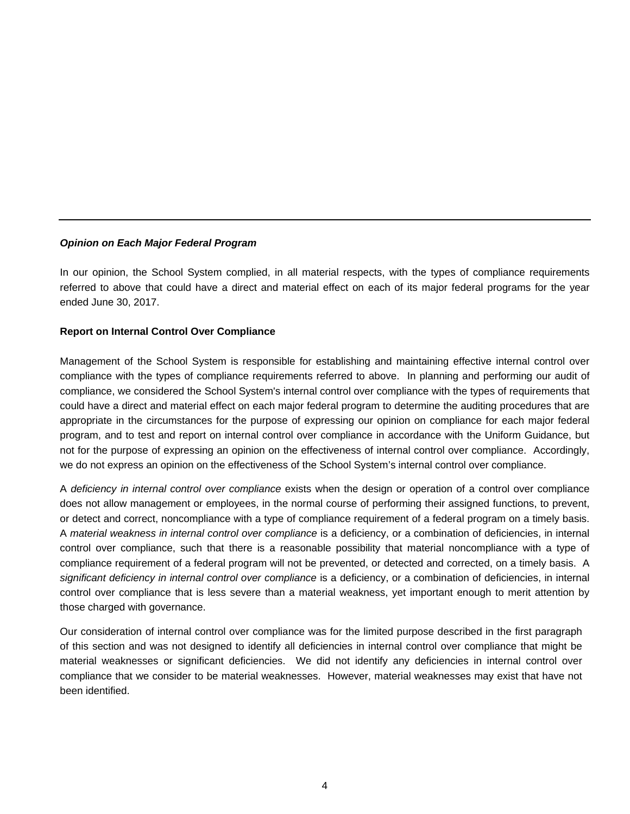#### *Opinion on Each Major Federal Program*

In our opinion, the School System complied, in all material respects, with the types of compliance requirements referred to above that could have a direct and material effect on each of its major federal programs for the year ended June 30, 2017.

#### **Report on Internal Control Over Compliance**

Management of the School System is responsible for establishing and maintaining effective internal control over compliance with the types of compliance requirements referred to above. In planning and performing our audit of compliance, we considered the School System's internal control over compliance with the types of requirements that could have a direct and material effect on each major federal program to determine the auditing procedures that are appropriate in the circumstances for the purpose of expressing our opinion on compliance for each major federal program, and to test and report on internal control over compliance in accordance with the Uniform Guidance, but not for the purpose of expressing an opinion on the effectiveness of internal control over compliance. Accordingly, we do not express an opinion on the effectiveness of the School System's internal control over compliance.

A *deficiency in internal control over compliance* exists when the design or operation of a control over compliance does not allow management or employees, in the normal course of performing their assigned functions, to prevent, or detect and correct, noncompliance with a type of compliance requirement of a federal program on a timely basis. A *material weakness in internal control over compliance* is a deficiency, or a combination of deficiencies, in internal control over compliance, such that there is a reasonable possibility that material noncompliance with a type of compliance requirement of a federal program will not be prevented, or detected and corrected, on a timely basis. A significant deficiency in internal control over compliance is a deficiency, or a combination of deficiencies, in internal control over compliance that is less severe than a material weakness, yet important enough to merit attention by those charged with governance.

Our consideration of internal control over compliance was for the limited purpose described in the first paragraph of this section and was not designed to identify all deficiencies in internal control over compliance that might be material weaknesses or significant deficiencies. We did not identify any deficiencies in internal control over compliance that we consider to be material weaknesses. However, material weaknesses may exist that have not been identified.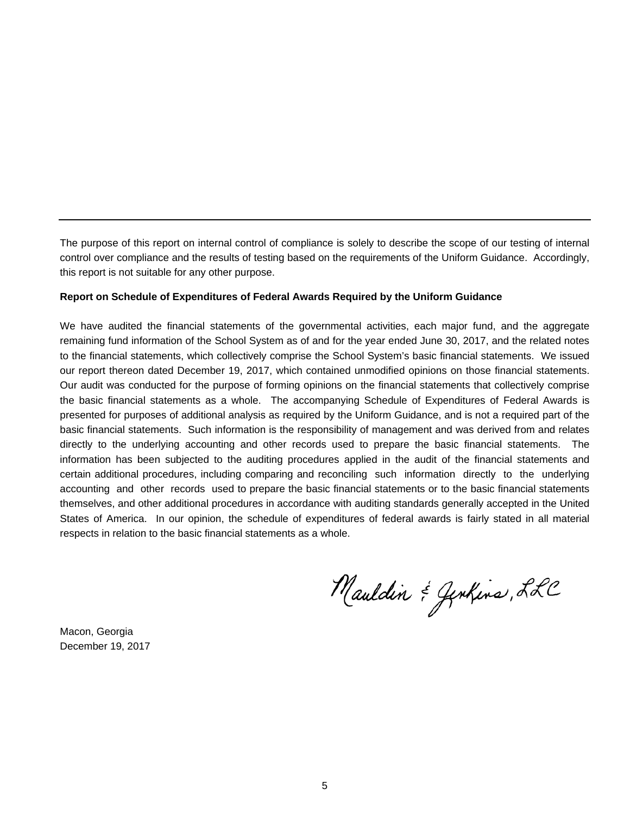The purpose of this report on internal control of compliance is solely to describe the scope of our testing of internal control over compliance and the results of testing based on the requirements of the Uniform Guidance. Accordingly, this report is not suitable for any other purpose.

#### **Report on Schedule of Expenditures of Federal Awards Required by the Uniform Guidance**

We have audited the financial statements of the governmental activities, each major fund, and the aggregate remaining fund information of the School System as of and for the year ended June 30, 2017, and the related notes to the financial statements, which collectively comprise the School System's basic financial statements. We issued our report thereon dated December 19, 2017, which contained unmodified opinions on those financial statements. Our audit was conducted for the purpose of forming opinions on the financial statements that collectively comprise the basic financial statements as a whole. The accompanying Schedule of Expenditures of Federal Awards is presented for purposes of additional analysis as required by the Uniform Guidance, and is not a required part of the basic financial statements. Such information is the responsibility of management and was derived from and relates directly to the underlying accounting and other records used to prepare the basic financial statements. The information has been subjected to the auditing procedures applied in the audit of the financial statements and certain additional procedures, including comparing and reconciling such information directly to the underlying accounting and other records used to prepare the basic financial statements or to the basic financial statements themselves, and other additional procedures in accordance with auditing standards generally accepted in the United States of America. In our opinion, the schedule of expenditures of federal awards is fairly stated in all material respects in relation to the basic financial statements as a whole.

Mauldin & Jenkins, LLC

Macon, Georgia December 19, 2017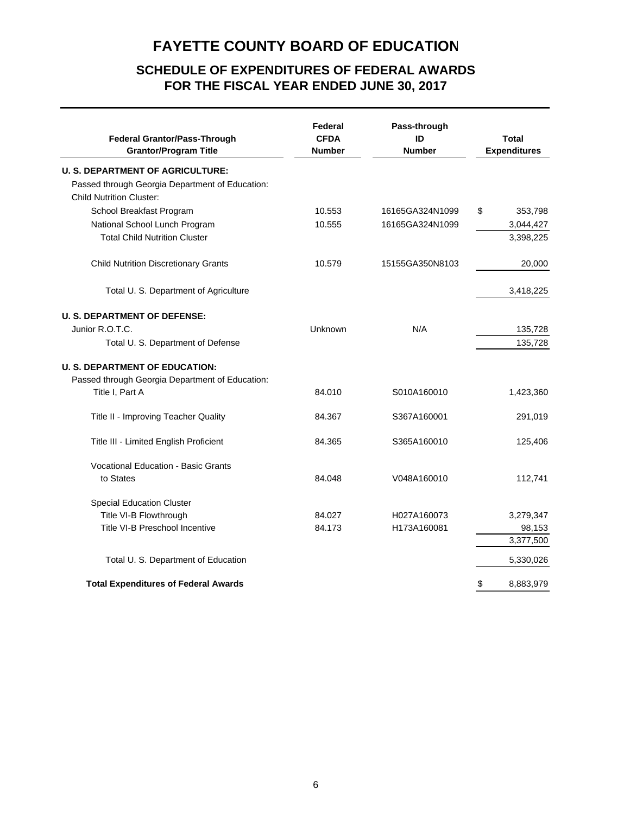# **SCHEDULE OF EXPENDITURES OF FEDERAL AWARDS FOR THE FISCAL YEAR ENDED JUNE 30, 2017**

| <b>Federal Grantor/Pass-Through</b><br><b>Grantor/Program Title</b>                                                           | Federal<br><b>CFDA</b><br><b>Number</b> | Pass-through<br>ID<br><b>Number</b> | <b>Total</b><br><b>Expenditures</b> |
|-------------------------------------------------------------------------------------------------------------------------------|-----------------------------------------|-------------------------------------|-------------------------------------|
| <b>U. S. DEPARTMENT OF AGRICULTURE:</b><br>Passed through Georgia Department of Education:<br><b>Child Nutrition Cluster:</b> |                                         |                                     |                                     |
| School Breakfast Program                                                                                                      | 10.553                                  | 16165GA324N1099                     | 353,798<br>\$                       |
| National School Lunch Program                                                                                                 | 10.555                                  | 16165GA324N1099                     | 3,044,427                           |
| <b>Total Child Nutrition Cluster</b>                                                                                          |                                         |                                     | 3,398,225                           |
| <b>Child Nutrition Discretionary Grants</b>                                                                                   | 10.579                                  | 15155GA350N8103                     | 20,000                              |
| Total U. S. Department of Agriculture                                                                                         |                                         |                                     | 3,418,225                           |
| <b>U. S. DEPARTMENT OF DEFENSE:</b>                                                                                           |                                         |                                     |                                     |
| Junior R.O.T.C.                                                                                                               | Unknown                                 | N/A                                 | 135,728                             |
| Total U. S. Department of Defense                                                                                             |                                         |                                     | 135,728                             |
| <b>U. S. DEPARTMENT OF EDUCATION:</b>                                                                                         |                                         |                                     |                                     |
| Passed through Georgia Department of Education:<br>Title I, Part A                                                            | 84.010                                  | S010A160010                         | 1,423,360                           |
| Title II - Improving Teacher Quality                                                                                          | 84.367                                  | S367A160001                         | 291,019                             |
| Title III - Limited English Proficient                                                                                        | 84.365                                  | S365A160010                         | 125,406                             |
| <b>Vocational Education - Basic Grants</b><br>to States                                                                       | 84.048                                  | V048A160010                         | 112,741                             |
| <b>Special Education Cluster</b>                                                                                              |                                         |                                     |                                     |
| Title VI-B Flowthrough                                                                                                        | 84.027                                  | H027A160073                         | 3,279,347                           |
| Title VI-B Preschool Incentive                                                                                                | 84.173                                  | H173A160081                         | 98,153                              |
|                                                                                                                               |                                         |                                     | 3,377,500                           |
| Total U. S. Department of Education                                                                                           |                                         |                                     | 5,330,026                           |
| <b>Total Expenditures of Federal Awards</b>                                                                                   |                                         |                                     | \$<br>8,883,979                     |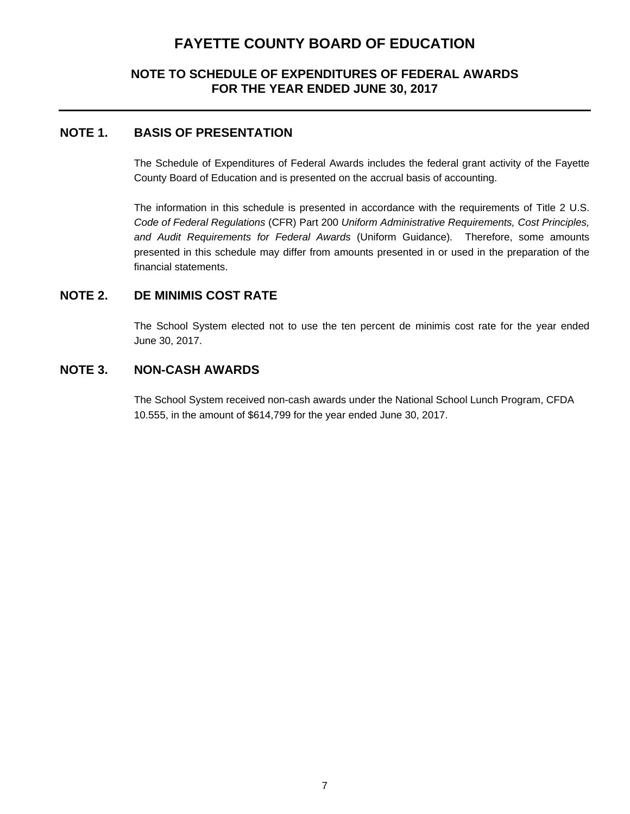# **NOTE TO SCHEDULE OF EXPENDITURES OF FEDERAL AWARDS FOR THE YEAR ENDED JUNE 30, 2017**

# **NOTE 1. BASIS OF PRESENTATION**

The Schedule of Expenditures of Federal Awards includes the federal grant activity of the Fayette County Board of Education and is presented on the accrual basis of accounting.

The information in this schedule is presented in accordance with the requirements of Title 2 U.S. *Code of Federal Regulations* (CFR) Part 200 *Uniform Administrative Requirements, Cost Principles, and Audit Requirements for Federal Awards* (Uniform Guidance)*.* Therefore, some amounts presented in this schedule may differ from amounts presented in or used in the preparation of the financial statements.

# **NOTE 2. DE MINIMIS COST RATE**

The School System elected not to use the ten percent de minimis cost rate for the year ended June 30, 2017.

# **NOTE 3. NON-CASH AWARDS**

The School System received non-cash awards under the National School Lunch Program, CFDA 10.555, in the amount of \$614,799 for the year ended June 30, 2017.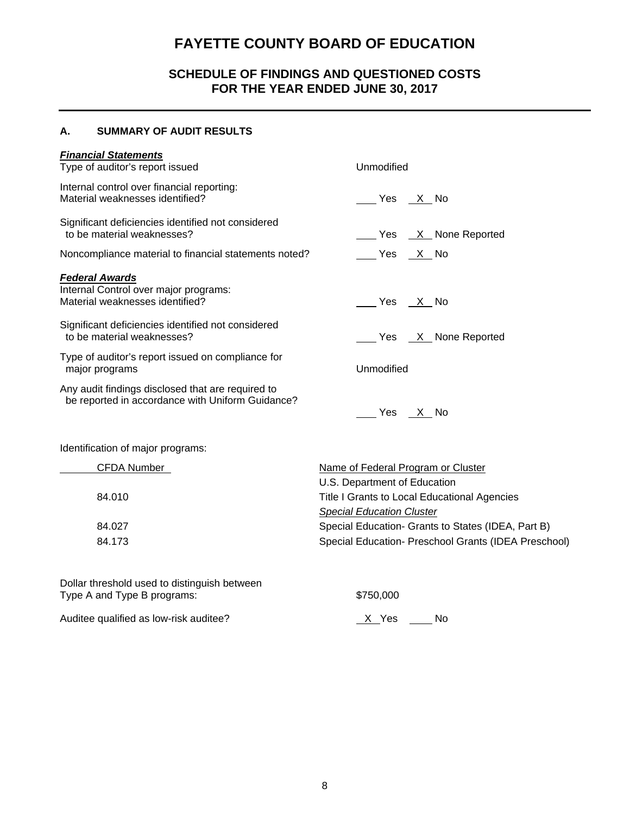# **SCHEDULE OF FINDINGS AND QUESTIONED COSTS FOR THE YEAR ENDED JUNE 30, 2017**

#### **A. SUMMARY OF AUDIT RESULTS**

# *Financial Statements*  Type of auditor's report issued Unmodified Internal control over financial reporting: Material weaknesses identified? <br>
Material weaknesses identified? Significant deficiencies identified not considered<br>to be material weaknesses? Yes X None Reported Noncompliance material to financial statements noted? Yes X No *Federal Awards*  Internal Control over major programs: Material weaknesses identified?  $\overline{\phantom{a}}$  Material weaknesses identified? Significant deficiencies identified not considered to be material weaknesses? The material weaknesses and the Material Material Material Material Material Materia Type of auditor's report issued on compliance for major programs **Unmodified** Any audit findings disclosed that are required to be reported in accordance with Uniform Guidance?  $Yes \quad X$  No

Identification of major programs:

| <b>CFDA Number</b> | Name of Federal Program or Cluster                   |
|--------------------|------------------------------------------------------|
|                    | U.S. Department of Education                         |
| 84.010             | Title I Grants to Local Educational Agencies         |
|                    | <b>Special Education Cluster</b>                     |
| 84.027             | Special Education- Grants to States (IDEA, Part B)   |
| 84.173             | Special Education- Preschool Grants (IDEA Preschool) |
|                    |                                                      |

Dollar threshold used to distinguish between Type A and Type B programs:  $$750,000$ 

Auditee qualified as low-risk auditee? X Yes No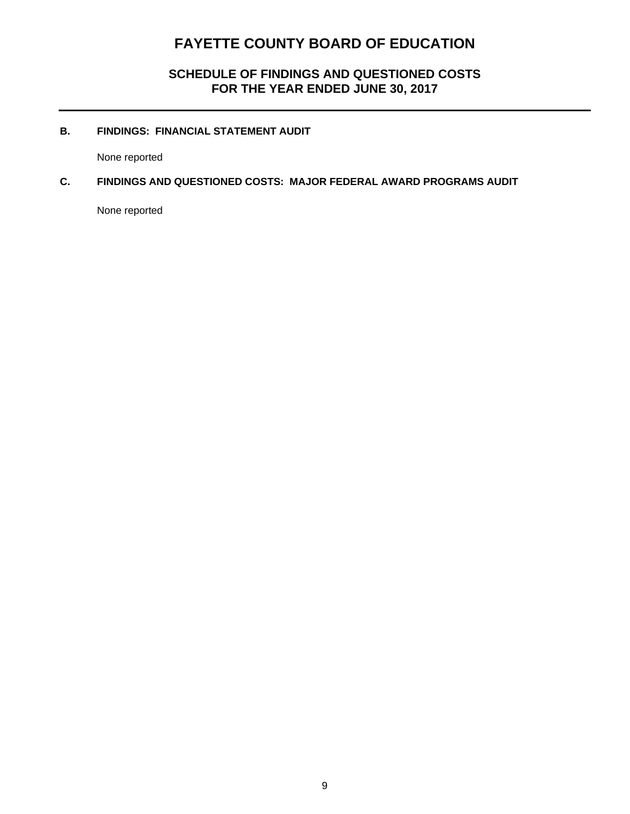**SCHEDULE OF FINDINGS AND QUESTIONED COSTS FOR THE YEAR ENDED JUNE 30, 2017** 

### **B. FINDINGS: FINANCIAL STATEMENT AUDIT**

None reported

#### **C. FINDINGS AND QUESTIONED COSTS: MAJOR FEDERAL AWARD PROGRAMS AUDIT**

None reported